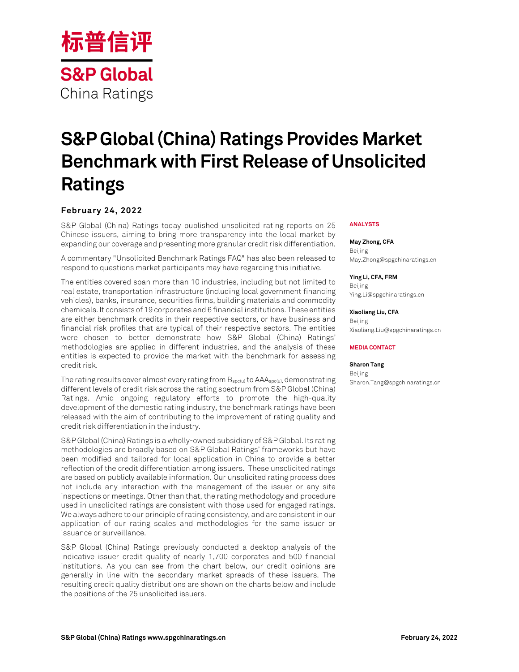

# **S&P Global (China) Ratings Provides Market Benchmark with First Release of Unsolicited Ratings**

## **February 24, 2022**

S&P Global (China) Ratings today published unsolicited rating reports on 25 Chinese issuers, aiming to bring more transparency into the local market by expanding our coverage and presenting more granular credit risk differentiation.

A commentary "Unsolicited Benchmark Ratings FAQ" has also been released to respond to questions market participants may have regarding this initiative.

The entities covered span more than 10 industries, including but not limited to real estate, transportation infrastructure (including local government financing vehicles), banks, insurance, securities firms, building materials and commodity chemicals. It consists of 19 corporates and 6 financial institutions. These entities are either benchmark credits in their respective sectors, or have business and financial risk profiles that are typical of their respective sectors. The entities were chosen to better demonstrate how S&P Global (China) Ratings' methodologies are applied in different industries, and the analysis of these entities is expected to provide the market with the benchmark for assessing credit risk.

The rating results cover almost every rating from  $B_{spec(u)}$  to  $AAA_{spec(u)}$ , demonstrating different levels of credit risk across the rating spectrum from S&P Global (China) Ratings. Amid ongoing regulatory efforts to promote the high-quality development of the domestic rating industry, the benchmark ratings have been released with the aim of contributing to the improvement of rating quality and credit risk differentiation in the industry.

S&PGlobal (China) Ratings is a wholly-owned subsidiary of S&P Global. Its rating methodologies are broadly based on S&P Global Ratings' frameworks but have been modified and tailored for local application in China to provide a better reflection of the credit differentiation among issuers. These unsolicited ratings are based on publicly available information. Our unsolicited rating process does not include any interaction with the management of the issuer or any site inspections or meetings. Other than that, the rating methodology and procedure used in unsolicited ratings are consistent with those used for engaged ratings. We always adhere to our principle of rating consistency, and are consistent in our application of our rating scales and methodologies for the same issuer or issuance or surveillance.

S&P Global (China) Ratings previously conducted a desktop analysis of the indicative issuer credit quality of nearly 1,700 corporates and 500 financial institutions. As you can see from the chart below, our credit opinions are generally in line with the secondary market spreads of these issuers. The resulting credit quality distributions are shown on the charts below and include the positions of the 25 unsolicited issuers.

## **ANALYSTS**

**May Zhong, CFA** Beijing May.Zhong@spgchinaratings.cn

**Ying Li, CFA, FRM**

Beijing Ying.Li@spgchinaratings.cn

## **Xiaoliang Liu, CFA**

Beijing Xiaoliang.Liu@spgchinaratings.cn

### **MEDIA CONTACT**

### **Sharon Tang**

Beijing Sharon.Tang@spgchinaratings.cn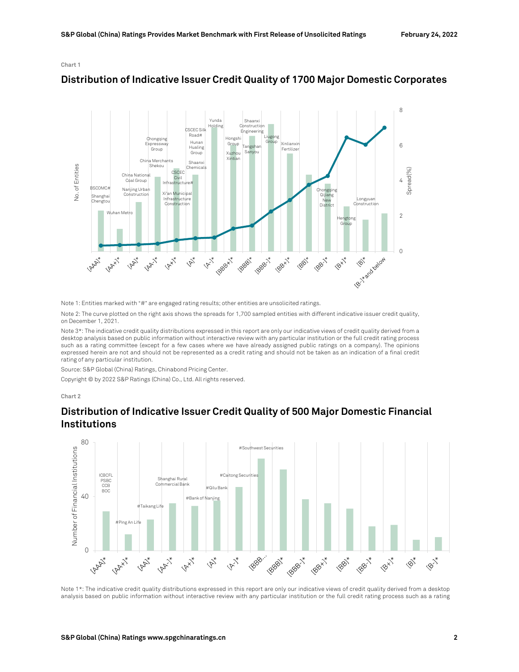## **Chart 1**



# **Distribution of Indicative Issuer Credit Quality of 1700 Major Domestic Corporates**

Note 1: Entities marked with "#" are engaged rating results; other entities are unsolicited ratings.

Note 2: The curve plotted on the right axis shows the spreads for 1,700 sampled entities with different indicative issuer credit quality, on December 1, 2021.

Note 3\*: The indicative credit quality distributions expressed in this report are only our indicative views of credit quality derived from a desktop analysis based on public information without interactive review with any particular institution or the full credit rating process such as a rating committee (except for a few cases where we have already assigned public ratings on a company). The opinions expressed herein are not and should not be represented as a credit rating and should not be taken as an indication of a final credit rating of any particular institution.

Source: S&P Global (China) Ratings, Chinabond Pricing Center.

Copyright © by 2022 S&P Ratings (China) Co., Ltd. All rights reserved.

#### **Chart 2**



# **Distribution of Indicative Issuer Credit Quality of 500 Major Domestic Financial Institutions**

Note 1\*: The indicative credit quality distributions expressed in this report are only our indicative views of credit quality derived from a desktop analysis based on public information without interactive review with any particular institution or the full credit rating process such as a rating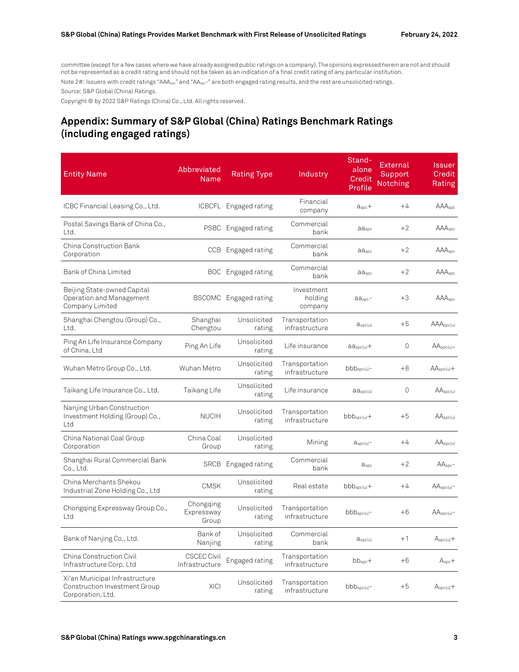committee (except for a few cases where we have already assigned public ratings on a company). The opinions expressed herein are not and should not be represented as a credit rating and should not be taken as an indication of a final credit rating of any particular institution.

Note 2#: Issuers with credit ratings "AAA<sub>spc</sub>" and "AA<sub>spc</sub>-" are both engaged rating results, and the rest are unsolicited ratings.

Source: S&P Global (China) Ratings.

Copyright © by 2022 S&P Ratings (China) Co., Ltd. All rights reserved.

# **Appendix: Summary of S&P Global (China) Ratings Benchmark Ratings (including engaged ratings)**

| <b>Entity Name</b>                                                                          | <b>Abbreviated</b><br>Name           | <b>Rating Type</b>    | Industry                         | Stand-<br>alone<br>Credit<br>Profile | External<br>Support<br>Notching | Issuer<br>Credit<br>Rating |
|---------------------------------------------------------------------------------------------|--------------------------------------|-----------------------|----------------------------------|--------------------------------------|---------------------------------|----------------------------|
| ICBC Financial Leasing Co., Ltd.                                                            | <b>ICBCFL</b>                        | Engaged rating        | Financial<br>company             | $aspc +$                             | $+4$                            | AAAspc                     |
| Postal Savings Bank of China Co.,<br>Ltd.                                                   | <b>PSBC</b>                          | Engaged rating        | Commercial<br>bank               | aaspc                                | $+2$                            | AAAspc                     |
| China Construction Bank<br>Corporation                                                      | CCB                                  | Engaged rating        | Commercial<br>bank               | aaspc                                | $+2$                            | AAA <sub>spc</sub>         |
| Bank of China Limited                                                                       | <b>BOC</b>                           | Engaged rating        | Commercial<br>bank               | aaspc                                | $+2$                            | AAAspc                     |
| Beijing State-owned Capital<br>Operation and Management<br>Company Limited                  | <b>BSCOMC</b>                        | Engaged rating        | Investment<br>holding<br>company | $a_{\rm Spc}$ -                      | $+3$                            | AAA <sub>soc</sub>         |
| Shanghai Chengtou (Group) Co.,<br>Ltd.                                                      | Shanghai<br>Chengtou                 | Unsolicited<br>rating | Transportation<br>infrastructure | $a_{\text{spc(u)}}$                  | $+5$                            | AAA <sub>spc(u)</sub>      |
| Ping An Life Insurance Company<br>of China, Ltd                                             | Ping An Life                         | Unsolicited<br>rating | Life insurance                   | $aa_{\text{spc(u)}}+$                | 0                               | $AA_{\text{spc}(u)+}$      |
| Wuhan Metro Group Co., Ltd.                                                                 | Wuhan Metro                          | Unsolicited<br>rating | Transportation<br>infrastructure | $bbb_{\rm spc(u)}$ -                 | $+8$                            | $AA_{\text{spc(u)}}+$      |
| Taikang Life Insurance Co., Ltd.                                                            | Taikang Life                         | Unsolicited<br>rating | Life insurance                   | $a_{\text{Spc}(u)}$                  | $\circ$                         | AA <sub>spc(u)</sub>       |
| Nanjing Urban Construction<br>Investment Holding (Group) Co.,<br>Ltd                        | <b>NUCIH</b>                         | Unsolicited<br>rating | Transportation<br>infrastructure | $bbb_{\rm spc(u)}+$                  | $+5$                            | AA <sub>spc(u)</sub>       |
| China National Coal Group<br>Corporation                                                    | China Coal<br>Group                  | Unsolicited<br>rating | Mining                           | $a_{\text{spc(u)}}$                  | $+4$                            | $AA_{\text{spc(u)}}$       |
| Shanghai Rural Commercial Bank<br>Co., Ltd.                                                 |                                      | SRCB Engaged rating   | Commercial<br>bank               | <b>a</b> spc                         | $+2$                            | $AAspc$ -                  |
| China Merchants Shekou<br>Industrial Zone Holding Co., Ltd                                  | <b>CMSK</b>                          | Unsolicited<br>rating | Real estate                      | $bbb_{\rm spc(u)}+$                  | $+4$                            | $AAspc(u)$ -               |
| Chongqing Expressway Group Co.,<br>Ltd                                                      | Chongging<br>Expressway<br>Group     | Unsolicited<br>rating | Transportation<br>infrastructure | $bbb_{\rm spc(u)}$ -                 | $+6$                            | $AA_{spc(u)}$ -            |
| Bank of Nanjing Co., Ltd.                                                                   | Bank of<br>Nanjing                   | Unsolicited<br>rating | Commercial<br>bank               | $a_{\text{spc(u)}}$                  | $+1$                            | $A_{\text{spc(u)}}+$       |
| China Construction Civil<br>Infrastructure Corp. Ltd                                        | <b>CSCEC Civil</b><br>Infrastructure | Engaged rating        | Transportation<br>infrastructure | $bb_{\text{spc}}+$                   | $+6$                            | $Aspc +$                   |
| Xi'an Municipal Infrastructure<br><b>Construction Investment Group</b><br>Corporation, Ltd. | <b>XICI</b>                          | Unsolicited<br>rating | Transportation<br>infrastructure | $bbb_{\rm spc(u)}$ -                 | $+5$                            | $A_{\text{spc(u)}}+$       |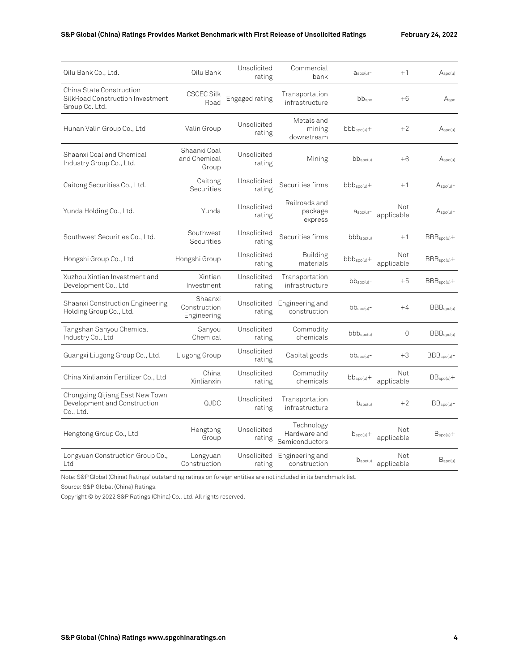| Qilu Bank Co., Ltd.                                                            | Qilu Bank                              | Unsolicited<br>rating | Commercial<br>bank                           | $a_{\text{spc(u)}}$ -   | $+1$              | A <sub>spc(u)</sub>   |
|--------------------------------------------------------------------------------|----------------------------------------|-----------------------|----------------------------------------------|-------------------------|-------------------|-----------------------|
| China State Construction<br>SilkRoad Construction Investment<br>Group Co. Ltd. | <b>CSCEC Silk</b><br>Road              | Engaged rating        | Transportation<br>infrastructure             | bbspc                   | $+6$              | A <sub>spc</sub>      |
| Hunan Valin Group Co., Ltd                                                     | Valin Group                            | Unsolicited<br>rating | Metals and<br>mining<br>downstream           | $bbb_{\text{spc(u)}}+$  | $+2$              | A <sub>spc(u)</sub>   |
| Shaanxi Coal and Chemical<br>Industry Group Co., Ltd.                          | Shaanxi Coal<br>and Chemical<br>Group  | Unsolicited<br>rating | Mining                                       | $bb_{spec(u)}$          | $+6$              | A <sub>spc(u)</sub>   |
| Caitong Securities Co., Ltd.                                                   | Caitong<br>Securities                  | Unsolicited<br>rating | Securities firms                             | $bbb_{\rm spc(u)}+$     | $+1$              | A <sub>spc(u)</sub>   |
| Yunda Holding Co., Ltd.                                                        | Yunda                                  | Unsolicited<br>rating | Railroads and<br>package<br>express          | $a_{\text{spc(u)}}$     | Not<br>applicable | $A_{\text{spc(u)}}-$  |
| Southwest Securities Co., Ltd.                                                 | Southwest<br>Securities                | Unsolicited<br>rating | Securities firms                             | bbb <sub>spec(u)</sub>  | $+1$              | $BBBspc(u) +$         |
| Hongshi Group Co., Ltd                                                         | Hongshi Group                          | Unsolicited<br>rating | <b>Building</b><br>materials                 | $bbb_{\text{spc(u)}}+$  | Not<br>applicable | $BBBspc(u) +$         |
| Xuzhou Xintian Investment and<br>Development Co., Ltd                          | Xintian<br>Investment                  | Unsolicited<br>rating | Transportation<br>infrastructure             | $bb_{spec(u)}$ -        | $+5$              | $BBBspc(u) +$         |
| Shaanxi Construction Engineering<br>Holding Group Co., Ltd.                    | Shaanxi<br>Construction<br>Engineering | Unsolicited<br>rating | Engineering and<br>construction              | $bb_{\text{spec}(u)}$ - | $+4$              | BBB <sub>spc(u)</sub> |
| Tangshan Sanyou Chemical<br>Industry Co., Ltd                                  | Sanyou<br>Chemical                     | Unsolicited<br>rating | Commodity<br>chemicals                       | $bbb_{\rm spc(u)}$      | 0                 | BBB <sub>spc(u)</sub> |
| Guangxi Liugong Group Co., Ltd.                                                | Liugong Group                          | Unsolicited<br>rating | Capital goods                                | $bb_{\text{spc(u)}}$ -  | $+3$              | BBB <sub>spc(u)</sub> |
| China Xinlianxin Fertilizer Co., Ltd                                           | China<br>Xinlianxin                    | Unsolicited<br>rating | Commodity<br>chemicals                       | $bb_{\text{spec}(u)}+$  | Not<br>applicable | $BBspc(u)$ +          |
| Chongqing Qijiang East New Town<br>Development and Construction<br>Co., Ltd.   | QJDC                                   | Unsolicited<br>rating | Transportation<br>infrastructure             | D <sub>spc(u)</sub>     | $+2$              | BB <sub>spc(u)</sub>  |
| Hengtong Group Co., Ltd                                                        | Hengtong<br>Group                      | Unsolicited<br>rating | Technology<br>Hardware and<br>Semiconductors | $b_{\text{spc(u)}}+$    | Not<br>applicable | B <sub>spc(u)</sub>   |
| Longyuan Construction Group Co.,<br>Ltd                                        | Longyuan<br>Construction               | Unsolicited<br>rating | Engineering and<br>construction              | $b_{\text{spc(u)}}$     | Not<br>applicable | $B_{\text{spc}(u)}$   |

Note: S&P Global (China) Ratings' outstanding ratings on foreign entities are not included in its benchmark list.

Source: S&P Global (China) Ratings.

Copyright © by 2022 S&P Ratings (China) Co., Ltd. All rights reserved.